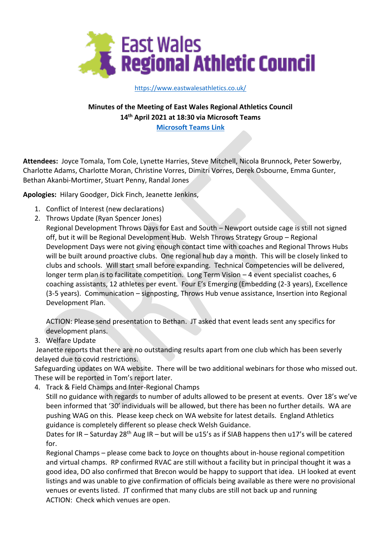

<https://www.eastwalesathletics.co.uk/>

**Minutes of the Meeting of East Wales Regional Athletics Council 14 th April 2021 at 18:30 via Microsoft Teams**

**[Microsoft Teams Link](https://teams.microsoft.com/l/meetup-join/19%3ameeting_NTI0YTQ5ZTgtZjI4Ni00NTY2LTk1NWQtYmUxYmMxMjRiZTM5%40thread.v2/0?context=%7b%22Tid%22%3a%227c43e4d7-67ed-475d-a476-c3d7c7a86a36%22%2c%22Oid%22%3a%2207896a2a-0d38-4be8-a95f-438c2fcfbe23%22%7d)**

**Attendees:** Joyce Tomala, Tom Cole, Lynette Harries, Steve Mitchell, Nicola Brunnock, Peter Sowerby, Charlotte Adams, Charlotte Moran, Christine Vorres, Dimitri Vorres, Derek Osbourne, Emma Gunter, Bethan Akanbi-Mortimer, Stuart Penny, Randal Jones

**Apologies:** Hilary Goodger, Dick Finch, Jeanette Jenkins,

- 1. Conflict of Interest (new declarations)
- 2. Throws Update (Ryan Spencer Jones)

Regional Development Throws Days for East and South – Newport outside cage is still not signed off, but it will be Regional Development Hub. Welsh Throws Strategy Group – Regional Development Days were not giving enough contact time with coaches and Regional Throws Hubs will be built around proactive clubs. One regional hub day a month. This will be closely linked to clubs and schools. Will start small before expanding. Technical Competencies will be delivered, longer term plan is to facilitate competition. Long Term Vision – 4 event specialist coaches, 6 coaching assistants, 12 athletes per event. Four E's Emerging (Embedding (2-3 years), Excellence (3-5 years). Communication – signposting, Throws Hub venue assistance, Insertion into Regional Development Plan.

ACTION: Please send presentation to Bethan. JT asked that event leads sent any specifics for development plans.

3. Welfare Update

Jeanette reports that there are no outstanding results apart from one club which has been severly delayed due to covid restrictions.

Safeguarding updates on WA website. There will be two additional webinars for those who missed out. These will be reported in Tom's report later.

4. Track & Field Champs and Inter-Regional Champs

Still no guidance with regards to number of adults allowed to be present at events. Over 18's we've been informed that '30' individuals will be allowed, but there has been no further details. WA are pushing WAG on this. Please keep check on WA website for latest details. England Athletics guidance is completely different so please check Welsh Guidance.

Dates for IR – Saturday 28<sup>th</sup> Aug IR – but will be u15's as if SIAB happens then u17's will be catered for.

Regional Champs – please come back to Joyce on thoughts about in-house regional competition and virtual champs. RP confirmed RVAC are still without a facility but in principal thought it was a good idea, DO also confirmed that Brecon would be happy to support that idea. LH looked at event listings and was unable to give confirmation of officials being available as there were no provisional venues or events listed. JT confirmed that many clubs are still not back up and running ACTION: Check which venues are open.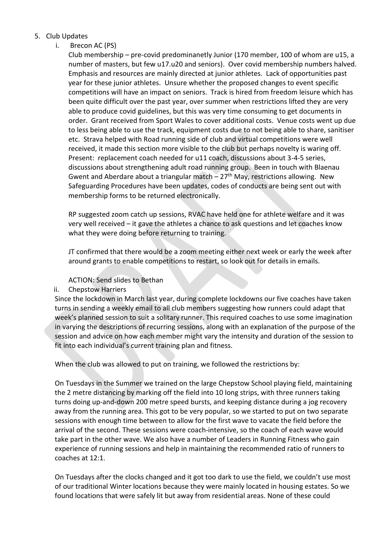## 5. Club Updates

i. Brecon AC (PS)

Club membership – pre-covid predominanetly Junior (170 member, 100 of whom are u15, a number of masters, but few u17.u20 and seniors). Over covid membership numbers halved. Emphasis and resources are mainly directed at junior athletes. Lack of opportunities past year for these junior athletes. Unsure whether the proposed changes to event specific competitions will have an impact on seniors. Track is hired from freedom leisure which has been quite difficult over the past year, over summer when restrictions lifted they are very able to produce covid guidelines, but this was very time consuming to get documents in order. Grant received from Sport Wales to cover additional costs. Venue costs went up due to less being able to use the track, equipment costs due to not being able to share, sanitiser etc. Strava helped with Road running side of club and virtual competitions were well received, it made this section more visible to the club but perhaps novelty is waring off. Present: replacement coach needed for u11 coach, discussions about 3-4-5 series, discussions about strengthening adult road running group. Been in touch with Blaenau Gwent and Aberdare about a triangular match  $-27<sup>th</sup>$  May, restrictions allowing. New Safeguarding Procedures have been updates, codes of conducts are being sent out with membership forms to be returned electronically.

RP suggested zoom catch up sessions, RVAC have held one for athlete welfare and it was very well received – it gave the athletes a chance to ask questions and let coaches know what they were doing before returning to training.

JT confirmed that there would be a zoom meeting either next week or early the week after around grants to enable competitions to restart, so look out for details in emails.

## ACTION: Send slides to Bethan

## ii. Chepstow Harriers

Since the lockdown in March last year, during complete lockdowns our five coaches have taken turns in sending a weekly email to all club members suggesting how runners could adapt that week's planned session to suit a solitary runner. This required coaches to use some imagination in varying the descriptions of recurring sessions, along with an explanation of the purpose of the session and advice on how each member might vary the intensity and duration of the session to fit into each individual's current training plan and fitness.

When the club was allowed to put on training, we followed the restrictions by:

On Tuesdays in the Summer we trained on the large Chepstow School playing field, maintaining the 2 metre distancing by marking off the field into 10 long strips, with three runners taking turns doing up-and-down 200 metre speed bursts, and keeping distance during a jog recovery away from the running area. This got to be very popular, so we started to put on two separate sessions with enough time between to allow for the first wave to vacate the field before the arrival of the second. These sessions were coach-intensive, so the coach of each wave would take part in the other wave. We also have a number of Leaders in Running Fitness who gain experience of running sessions and help in maintaining the recommended ratio of runners to coaches at 12:1.

On Tuesdays after the clocks changed and it got too dark to use the field, we couldn't use most of our traditional Winter locations because they were mainly located in housing estates. So we found locations that were safely lit but away from residential areas. None of these could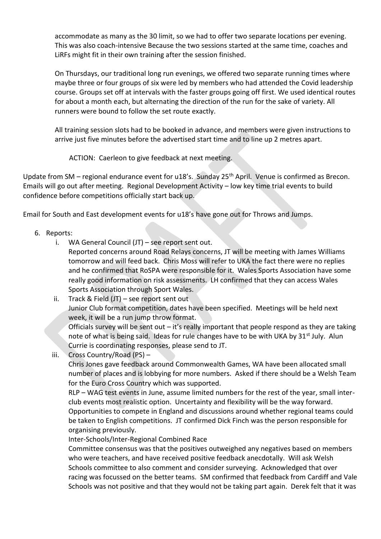accommodate as many as the 30 limit, so we had to offer two separate locations per evening. This was also coach-intensive Because the two sessions started at the same time, coaches and LiRFs might fit in their own training after the session finished.

On Thursdays, our traditional long run evenings, we offered two separate running times where maybe three or four groups of six were led by members who had attended the Covid leadership course. Groups set off at intervals with the faster groups going off first. We used identical routes for about a month each, but alternating the direction of the run for the sake of variety. All runners were bound to follow the set route exactly.

All training session slots had to be booked in advance, and members were given instructions to arrive just five minutes before the advertised start time and to line up 2 metres apart.

ACTION: Caerleon to give feedback at next meeting.

Update from SM – regional endurance event for u18's. Sunday 25<sup>th</sup> April. Venue is confirmed as Brecon. Emails will go out after meeting. Regional Development Activity – low key time trial events to build confidence before competitions officially start back up.

Email for South and East development events for u18's have gone out for Throws and Jumps.

- 6. Reports:
	- i. WA General Council (JT) see report sent out.
		- Reported concerns around Road Relays concerns, JT will be meeting with James Williams tomorrow and will feed back. Chris Moss will refer to UKA the fact there were no replies and he confirmed that RoSPA were responsible for it. Wales Sports Association have some really good information on risk assessments. LH confirmed that they can access Wales Sports Association through Sport Wales.
	- ii. Track & Field (JT) see report sent out Junior Club format competition, dates have been specified. Meetings will be held next week, it will be a run jump throw format. Officials survey will be sent out – it's really important that people respond as they are taking note of what is being said. Ideas for rule changes have to be with UKA by 31<sup>st</sup> July. Alun
	- Currie is coordinating responses, please send to JT. iii. Cross Country/Road (PS) –

Chris Jones gave feedback around Commonwealth Games, WA have been allocated small number of places and is lobbying for more numbers. Asked if there should be a Welsh Team for the Euro Cross Country which was supported.

RLP – WAG test events in June, assume limited numbers for the rest of the year, small interclub events most realistic option. Uncertainty and flexibility will be the way forward. Opportunities to compete in England and discussions around whether regional teams could be taken to English competitions. JT confirmed Dick Finch was the person responsible for organising previously.

Inter-Schools/Inter-Regional Combined Race

Committee consensus was that the positives outweighed any negatives based on members who were teachers, and have received positive feedback anecdotally. Will ask Welsh Schools committee to also comment and consider surveying. Acknowledged that over racing was focussed on the better teams. SM confirmed that feedback from Cardiff and Vale Schools was not positive and that they would not be taking part again. Derek felt that it was